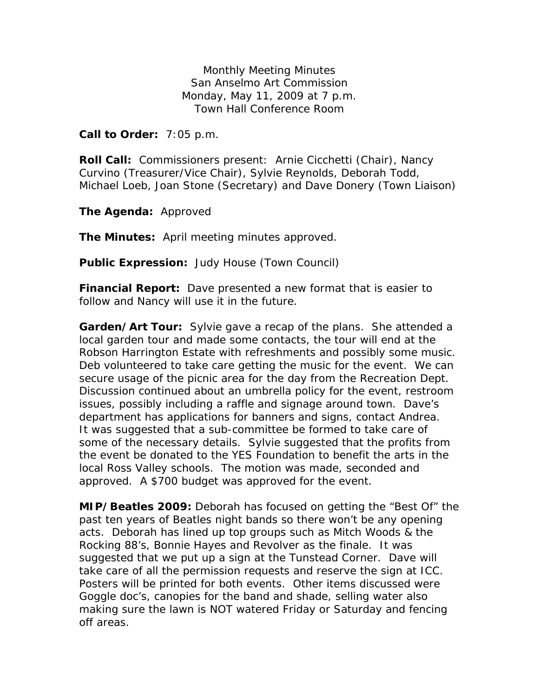Monthly Meeting Minutes San Anselmo Art Commission Monday, May 11, 2009 at 7 p.m. Town Hall Conference Room

**Call to Order:** 7:05 p.m.

**Roll Call:** Commissioners present: Arnie Cicchetti (Chair), Nancy Curvino (Treasurer/Vice Chair), Sylvie Reynolds, Deborah Todd, Michael Loeb, Joan Stone (Secretary) and Dave Donery (Town Liaison)

**The Agenda:** Approved

**The Minutes:** April meeting minutes approved.

**Public Expression:** Judy House (Town Council)

**Financial Report:** Dave presented a new format that is easier to follow and Nancy will use it in the future.

**Garden/Art Tour:** Sylvie gave a recap of the plans. She attended a local garden tour and made some contacts, the tour will end at the Robson Harrington Estate with refreshments and possibly some music. Deb volunteered to take care getting the music for the event. We can secure usage of the picnic area for the day from the Recreation Dept. Discussion continued about an umbrella policy for the event, restroom issues, possibly including a raffle and signage around town. Dave's department has applications for banners and signs, contact Andrea. It was suggested that a sub-committee be formed to take care of some of the necessary details. Sylvie suggested that the profits from the event be donated to the YES Foundation to benefit the arts in the local Ross Valley schools. The motion was made, seconded and approved. A \$700 budget was approved for the event.

**MIP/Beatles 2009:** Deborah has focused on getting the "Best Of" the past ten years of Beatles night bands so there won't be any opening acts. Deborah has lined up top groups such as Mitch Woods & the Rocking 88's, Bonnie Hayes and Revolver as the finale. It was suggested that we put up a sign at the Tunstead Corner. Dave will take care of all the permission requests and reserve the sign at ICC. Posters will be printed for both events. Other items discussed were Goggle doc's, canopies for the band and shade, selling water also making sure the lawn is NOT watered Friday or Saturday and fencing off areas.